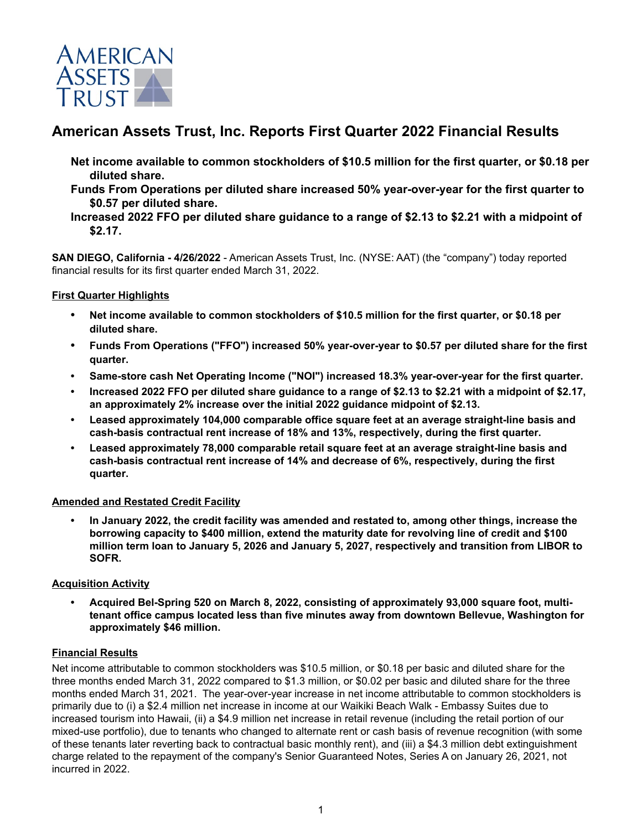

# **American Assets Trust, Inc. Reports First Quarter 2022 Financial Results**

- **Net income available to common stockholders of \$10.5 million for the first quarter, or \$0.18 per diluted share.**
- **Funds From Operations per diluted share increased 50% year-over-year for the first quarter to \$0.57 per diluted share.**

**SAN DIEGO, California - 4/26/2022** - American Assets Trust, Inc. (NYSE: AAT) (the "company") today reported financial results for its first quarter ended March 31, 2022.

# **First Quarter Highlights**

- **• Net income available to common stockholders of \$10.5 million for the first quarter, or \$0.18 per diluted share.**
- **• Funds From Operations ("FFO") increased 50% year-over-year to \$0.57 per diluted share for the first quarter.**
- **• Same-store cash Net Operating Income ("NOI") increased 18.3% year-over-year for the first quarter.**
- **• Increased 2022 FFO per diluted share guidance to a range of \$2.13 to \$2.21 with a midpoint of \$2.17, an approximately 2% increase over the initial 2022 guidance midpoint of \$2.13.**
- **• Leased approximately 104,000 comparable office square feet at an average straight-line basis and cash-basis contractual rent increase of 18% and 13%, respectively, during the first quarter.**
- **• Leased approximately 78,000 comparable retail square feet at an average straight-line basis and cash-basis contractual rent increase of 14% and decrease of 6%, respectively, during the first quarter.**

# **Amended and Restated Credit Facility**

**• In January 2022, the credit facility was amended and restated to, among other things, increase the borrowing capacity to \$400 million, extend the maturity date for revolving line of credit and \$100 million term loan to January 5, 2026 and January 5, 2027, respectively and transition from LIBOR to SOFR.** 

# **Acquisition Activity**

**• Acquired Bel-Spring 520 on March 8, 2022, consisting of approximately 93,000 square foot, multitenant office campus located less than five minutes away from downtown Bellevue, Washington for approximately \$46 million.**

#### **Financial Results**

Net income attributable to common stockholders was \$10.5 million, or \$0.18 per basic and diluted share for the three months ended March 31, 2022 compared to \$1.3 million, or \$0.02 per basic and diluted share for the three months ended March 31, 2021. The year-over-year increase in net income attributable to common stockholders is primarily due to (i) a \$2.4 million net increase in income at our Waikiki Beach Walk - Embassy Suites due to increased tourism into Hawaii, (ii) a \$4.9 million net increase in retail revenue (including the retail portion of our mixed-use portfolio), due to tenants who changed to alternate rent or cash basis of revenue recognition (with some of these tenants later reverting back to contractual basic monthly rent), and (iii) a \$4.3 million debt extinguishment charge related to the repayment of the company's Senior Guaranteed Notes, Series A on January 26, 2021, not incurred in 2022.

**Increased 2022 FFO per diluted share guidance to a range of \$2.13 to \$2.21 with a midpoint of \$2.17.**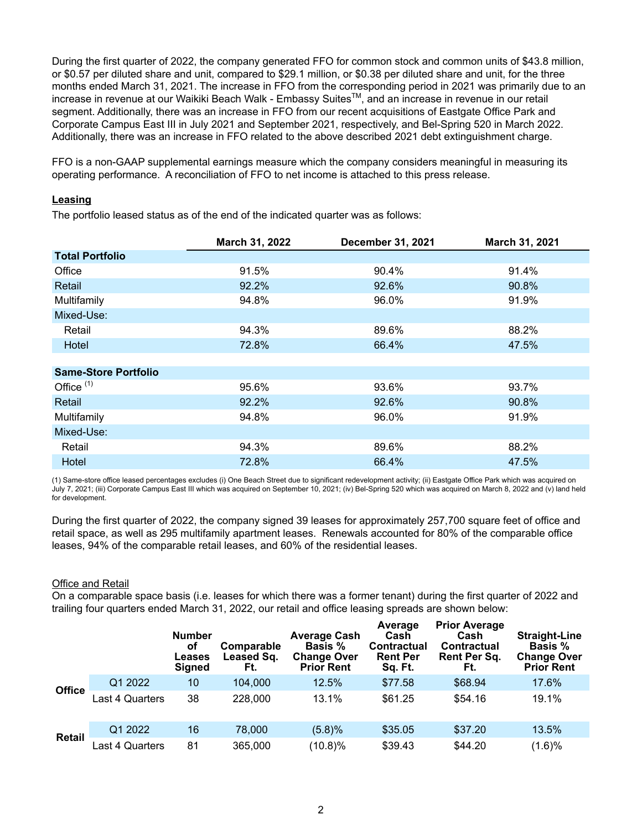During the first quarter of 2022, the company generated FFO for common stock and common units of \$43.8 million, or \$0.57 per diluted share and unit, compared to \$29.1 million, or \$0.38 per diluted share and unit, for the three months ended March 31, 2021. The increase in FFO from the corresponding period in 2021 was primarily due to an increase in revenue at our Waikiki Beach Walk - Embassy Suites™, and an increase in revenue in our retail segment. Additionally, there was an increase in FFO from our recent acquisitions of Eastgate Office Park and Corporate Campus East III in July 2021 and September 2021, respectively, and Bel-Spring 520 in March 2022. Additionally, there was an increase in FFO related to the above described 2021 debt extinguishment charge.

FFO is a non-GAAP supplemental earnings measure which the company considers meaningful in measuring its operating performance. A reconciliation of FFO to net income is attached to this press release.

## **Leasing**

The portfolio leased status as of the end of the indicated quarter was as follows:

|                             | March 31, 2022 | <b>December 31, 2021</b> | March 31, 2021 |
|-----------------------------|----------------|--------------------------|----------------|
| <b>Total Portfolio</b>      |                |                          |                |
| Office                      | 91.5%          | 90.4%                    | 91.4%          |
| Retail                      | 92.2%          | 92.6%                    | 90.8%          |
| Multifamily                 | 94.8%          | 96.0%                    | 91.9%          |
| Mixed-Use:                  |                |                          |                |
| Retail                      | 94.3%          | 89.6%                    | 88.2%          |
| Hotel                       | 72.8%          | 66.4%                    | 47.5%          |
|                             |                |                          |                |
| <b>Same-Store Portfolio</b> |                |                          |                |
| Office $(1)$                | 95.6%          | 93.6%                    | 93.7%          |
| Retail                      | 92.2%          | 92.6%                    | 90.8%          |
| Multifamily                 | 94.8%          | 96.0%                    | 91.9%          |
| Mixed-Use:                  |                |                          |                |
| Retail                      | 94.3%          | 89.6%                    | 88.2%          |
| Hotel                       | 72.8%          | 66.4%                    | 47.5%          |

(1) Same-store office leased percentages excludes (i) One Beach Street due to significant redevelopment activity; (ii) Eastgate Office Park which was acquired on July 7, 2021; (iii) Corporate Campus East III which was acquired on September 10, 2021; (iv) Bel-Spring 520 which was acquired on March 8, 2022 and (v) land held for development.

During the first quarter of 2022, the company signed 39 leases for approximately 257,700 square feet of office and retail space, as well as 295 multifamily apartment leases. Renewals accounted for 80% of the comparable office leases, 94% of the comparable retail leases, and 60% of the residential leases.

#### Office and Retail

On a comparable space basis (i.e. leases for which there was a former tenant) during the first quarter of 2022 and trailing four quarters ended March 31, 2022, our retail and office leasing spreads are shown below:

|               |                 | <b>Number</b><br>оf<br>Leases<br><b>Signed</b> | Comparable<br>Leased Sq.<br>Ft. | <b>Average Cash</b><br><b>Basis</b> %<br><b>Change Over</b><br><b>Prior Rent</b> | Average<br>Cash<br>Contractual<br><b>Rent Per</b><br>Sq. Ft. | <b>Prior Average</b><br>Cash<br><b>Contractual</b><br>Rent Per Sq.<br>Ft. | <b>Straight-Line</b><br><b>Basis</b> %<br><b>Change Over</b><br><b>Prior Rent</b> |
|---------------|-----------------|------------------------------------------------|---------------------------------|----------------------------------------------------------------------------------|--------------------------------------------------------------|---------------------------------------------------------------------------|-----------------------------------------------------------------------------------|
|               | Q1 2022         | 10                                             | 104,000                         | 12.5%                                                                            | \$77.58                                                      | \$68.94                                                                   | 17.6%                                                                             |
| <b>Office</b> | Last 4 Quarters | 38                                             | 228,000                         | 13.1%                                                                            | \$61.25                                                      | \$54.16                                                                   | 19.1%                                                                             |
|               | Q1 2022         | 16                                             | 78,000                          | (5.8)%                                                                           | \$35.05                                                      | \$37.20                                                                   | 13.5%                                                                             |
| <b>Retail</b> | Last 4 Quarters | 81                                             | 365,000                         | $(10.8)\%$                                                                       | \$39.43                                                      | \$44.20                                                                   | (1.6)%                                                                            |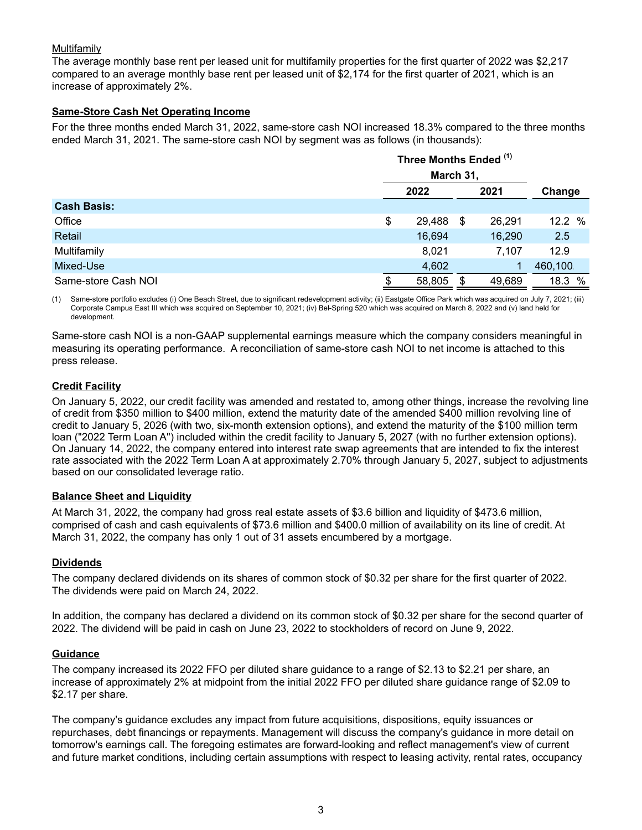# Multifamily

The average monthly base rent per leased unit for multifamily properties for the first quarter of 2022 was \$2,217 compared to an average monthly base rent per leased unit of \$2,174 for the first quarter of 2021, which is an increase of approximately 2%.

# **Same-Store Cash Net Operating Income**

For the three months ended March 31, 2022, same-store cash NOI increased 18.3% compared to the three months ended March 31, 2021. The same-store cash NOI by segment was as follows (in thousands):

|                     | Three Months Ended (1) |           |    |        |           |  |
|---------------------|------------------------|-----------|----|--------|-----------|--|
|                     |                        | March 31, |    |        |           |  |
|                     |                        | 2022      |    | 2021   | Change    |  |
| <b>Cash Basis:</b>  |                        |           |    |        |           |  |
| Office              | \$                     | 29,488    | S. | 26,291 | 12.2 $%$  |  |
| Retail              |                        | 16,694    |    | 16,290 | 2.5       |  |
| Multifamily         |                        | 8,021     |    | 7,107  | 12.9      |  |
| Mixed-Use           |                        | 4,602     |    |        | 460,100   |  |
| Same-store Cash NOI | \$                     | 58,805    | S  | 49,689 | %<br>18.3 |  |

(1) Same-store portfolio excludes (i) One Beach Street, due to significant redevelopment activity; (ii) Eastgate Office Park which was acquired on July 7, 2021; (iii) Corporate Campus East III which was acquired on September 10, 2021; (iv) Bel-Spring 520 which was acquired on March 8, 2022 and (v) land held for development.

Same-store cash NOI is a non-GAAP supplemental earnings measure which the company considers meaningful in measuring its operating performance. A reconciliation of same-store cash NOI to net income is attached to this press release.

# **Credit Facility**

On January 5, 2022, our credit facility was amended and restated to, among other things, increase the revolving line of credit from \$350 million to \$400 million, extend the maturity date of the amended \$400 million revolving line of credit to January 5, 2026 (with two, six-month extension options), and extend the maturity of the \$100 million term loan ("2022 Term Loan A") included within the credit facility to January 5, 2027 (with no further extension options). On January 14, 2022, the company entered into interest rate swap agreements that are intended to fix the interest rate associated with the 2022 Term Loan A at approximately 2.70% through January 5, 2027, subject to adjustments based on our consolidated leverage ratio.

# **Balance Sheet and Liquidity**

At March 31, 2022, the company had gross real estate assets of \$3.6 billion and liquidity of \$473.6 million, comprised of cash and cash equivalents of \$73.6 million and \$400.0 million of availability on its line of credit. At March 31, 2022, the company has only 1 out of 31 assets encumbered by a mortgage.

# **Dividends**

The company declared dividends on its shares of common stock of \$0.32 per share for the first quarter of 2022. The dividends were paid on March 24, 2022.

In addition, the company has declared a dividend on its common stock of \$0.32 per share for the second quarter of 2022. The dividend will be paid in cash on June 23, 2022 to stockholders of record on June 9, 2022.

# **Guidance**

The company increased its 2022 FFO per diluted share guidance to a range of \$2.13 to \$2.21 per share, an increase of approximately 2% at midpoint from the initial 2022 FFO per diluted share guidance range of \$2.09 to \$2.17 per share.

The company's guidance excludes any impact from future acquisitions, dispositions, equity issuances or repurchases, debt financings or repayments. Management will discuss the company's guidance in more detail on tomorrow's earnings call. The foregoing estimates are forward-looking and reflect management's view of current and future market conditions, including certain assumptions with respect to leasing activity, rental rates, occupancy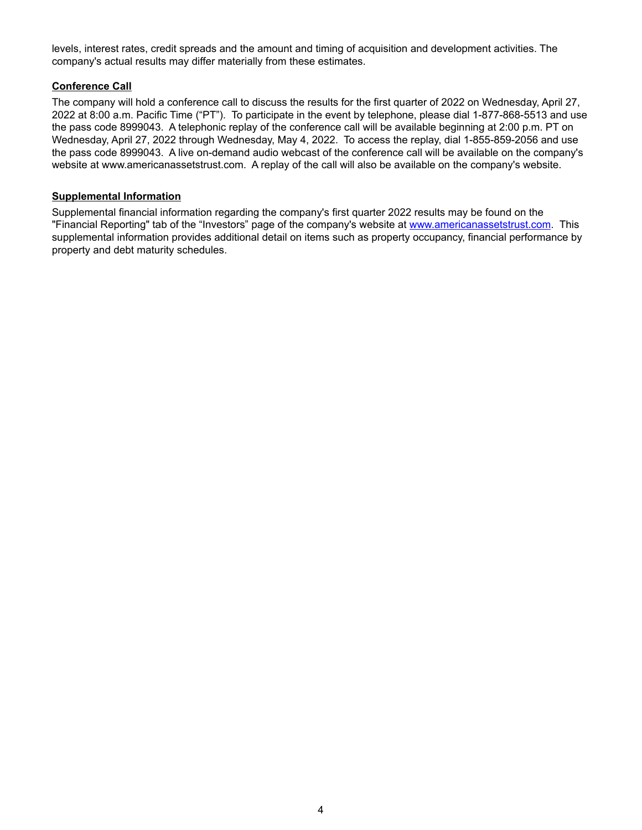levels, interest rates, credit spreads and the amount and timing of acquisition and development activities. The company's actual results may differ materially from these estimates.

# **Conference Call**

The company will hold a conference call to discuss the results for the first quarter of 2022 on Wednesday, April 27, 2022 at 8:00 a.m. Pacific Time ("PT"). To participate in the event by telephone, please dial 1-877-868-5513 and use the pass code 8999043. A telephonic replay of the conference call will be available beginning at 2:00 p.m. PT on Wednesday, April 27, 2022 through Wednesday, May 4, 2022. To access the replay, dial 1-855-859-2056 and use the pass code 8999043. A live on-demand audio webcast of the conference call will be available on the company's website at www.americanassetstrust.com. A replay of the call will also be available on the company's website.

## **Supplemental Information**

Supplemental financial information regarding the company's first quarter 2022 results may be found on the "Financial Reporting" tab of the "Investors" page of the company's website at www.americanassetstrust.com. This supplemental information provides additional detail on items such as property occupancy, financial performance by property and debt maturity schedules.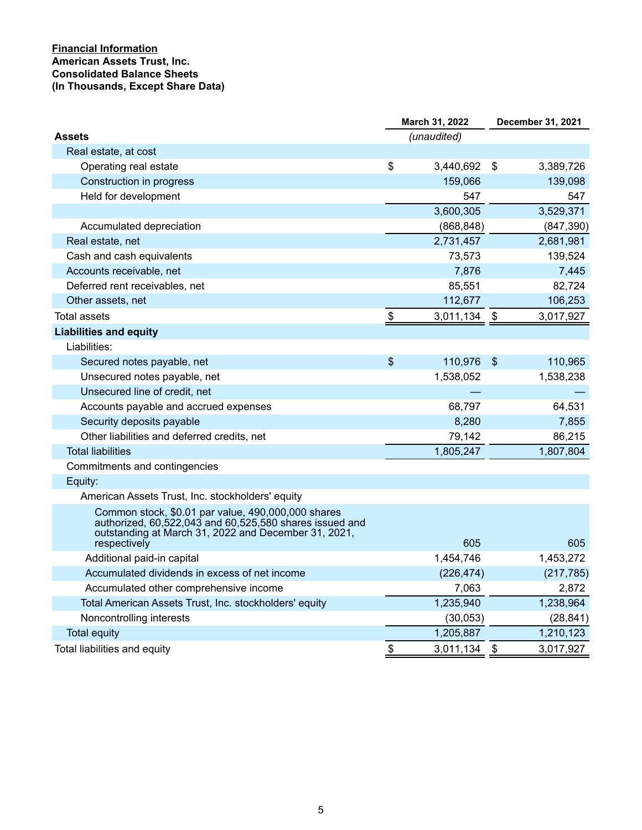# **Financial Information American Assets Trust, Inc. Consolidated Balance Sheets (In Thousands, Except Share Data)**

|                                                                                                                                                                       | March 31, 2022 |             | <b>December 31, 2021</b> |            |  |
|-----------------------------------------------------------------------------------------------------------------------------------------------------------------------|----------------|-------------|--------------------------|------------|--|
| <b>Assets</b>                                                                                                                                                         |                | (unaudited) |                          |            |  |
| Real estate, at cost                                                                                                                                                  |                |             |                          |            |  |
| Operating real estate                                                                                                                                                 | \$             | 3,440,692   | \$                       | 3,389,726  |  |
| Construction in progress                                                                                                                                              |                | 159,066     |                          | 139,098    |  |
| Held for development                                                                                                                                                  |                | 547         |                          | 547        |  |
|                                                                                                                                                                       |                | 3,600,305   |                          | 3,529,371  |  |
| Accumulated depreciation                                                                                                                                              |                | (868, 848)  |                          | (847, 390) |  |
| Real estate, net                                                                                                                                                      |                | 2,731,457   |                          | 2,681,981  |  |
| Cash and cash equivalents                                                                                                                                             |                | 73,573      |                          | 139,524    |  |
| Accounts receivable, net                                                                                                                                              |                | 7,876       |                          | 7,445      |  |
| Deferred rent receivables, net                                                                                                                                        |                | 85,551      |                          | 82,724     |  |
| Other assets, net                                                                                                                                                     |                | 112,677     |                          | 106,253    |  |
| <b>Total assets</b>                                                                                                                                                   | \$             | 3,011,134   | \$                       | 3,017,927  |  |
| <b>Liabilities and equity</b>                                                                                                                                         |                |             |                          |            |  |
| Liabilities:                                                                                                                                                          |                |             |                          |            |  |
| Secured notes payable, net                                                                                                                                            | $\mathfrak{S}$ | 110,976     | $\sqrt{2}$               | 110,965    |  |
| Unsecured notes payable, net                                                                                                                                          |                | 1,538,052   |                          | 1,538,238  |  |
| Unsecured line of credit, net                                                                                                                                         |                |             |                          |            |  |
| Accounts payable and accrued expenses                                                                                                                                 |                | 68,797      |                          | 64,531     |  |
| Security deposits payable                                                                                                                                             |                | 8,280       |                          | 7,855      |  |
| Other liabilities and deferred credits, net                                                                                                                           |                | 79,142      |                          | 86,215     |  |
| <b>Total liabilities</b>                                                                                                                                              |                | 1,805,247   |                          | 1,807,804  |  |
| Commitments and contingencies                                                                                                                                         |                |             |                          |            |  |
| Equity:                                                                                                                                                               |                |             |                          |            |  |
| American Assets Trust, Inc. stockholders' equity                                                                                                                      |                |             |                          |            |  |
| Common stock, \$0.01 par value, 490,000,000 shares<br>authorized, 60,522,043 and 60,525,580 shares issued and<br>outstanding at March 31, 2022 and December 31, 2021, |                |             |                          |            |  |
| respectively                                                                                                                                                          |                | 605         |                          | 605        |  |
| Additional paid-in capital                                                                                                                                            |                | 1,454,746   |                          | 1,453,272  |  |
| Accumulated dividends in excess of net income                                                                                                                         |                | (226, 474)  |                          | (217, 785) |  |
| Accumulated other comprehensive income                                                                                                                                |                | 7,063       |                          | 2,872      |  |
| Total American Assets Trust, Inc. stockholders' equity                                                                                                                |                | 1,235,940   |                          | 1,238,964  |  |
| Noncontrolling interests                                                                                                                                              |                | (30,053)    |                          | (28, 841)  |  |
| <b>Total equity</b>                                                                                                                                                   |                | 1,205,887   |                          | 1,210,123  |  |
| Total liabilities and equity                                                                                                                                          | \$             | 3,011,134   | \$                       | 3,017,927  |  |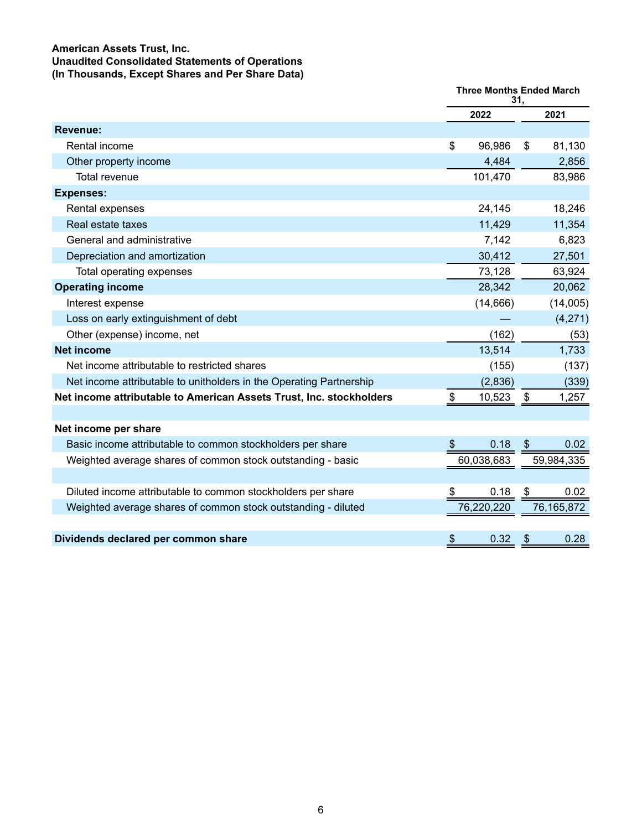## **American Assets Trust, Inc. Unaudited Consolidated Statements of Operations (In Thousands, Except Shares and Per Share Data)**

|                                                                     | <b>Three Months Ended March</b><br>31. |            |                           |            |
|---------------------------------------------------------------------|----------------------------------------|------------|---------------------------|------------|
|                                                                     | 2022                                   |            |                           | 2021       |
| <b>Revenue:</b>                                                     |                                        |            |                           |            |
| Rental income                                                       | \$                                     | 96,986     | \$                        | 81,130     |
| Other property income                                               |                                        | 4,484      |                           | 2,856      |
| Total revenue                                                       |                                        | 101,470    |                           | 83,986     |
| <b>Expenses:</b>                                                    |                                        |            |                           |            |
| Rental expenses                                                     |                                        | 24,145     |                           | 18,246     |
| Real estate taxes                                                   |                                        | 11,429     |                           | 11,354     |
| General and administrative                                          |                                        | 7,142      |                           | 6,823      |
| Depreciation and amortization                                       |                                        | 30,412     |                           | 27,501     |
| Total operating expenses                                            |                                        | 73,128     |                           | 63,924     |
| <b>Operating income</b>                                             |                                        | 28,342     |                           | 20,062     |
| Interest expense                                                    |                                        | (14, 666)  |                           | (14,005)   |
| Loss on early extinguishment of debt                                |                                        |            |                           | (4,271)    |
| Other (expense) income, net                                         |                                        | (162)      |                           | (53)       |
| <b>Net income</b>                                                   |                                        | 13,514     |                           | 1,733      |
| Net income attributable to restricted shares                        |                                        | (155)      |                           | (137)      |
| Net income attributable to unitholders in the Operating Partnership |                                        | (2,836)    |                           | (339)      |
| Net income attributable to American Assets Trust, Inc. stockholders | \$                                     | 10,523     | \$                        | 1,257      |
|                                                                     |                                        |            |                           |            |
| Net income per share                                                |                                        |            |                           |            |
| Basic income attributable to common stockholders per share          | $\frac{1}{2}$                          | 0.18       | $\boldsymbol{\mathsf{S}}$ | 0.02       |
| Weighted average shares of common stock outstanding - basic         |                                        | 60,038,683 |                           | 59,984,335 |
|                                                                     |                                        |            |                           |            |
| Diluted income attributable to common stockholders per share        | \$                                     | 0.18       | \$                        | 0.02       |
| Weighted average shares of common stock outstanding - diluted       |                                        | 76,220,220 |                           | 76,165,872 |
|                                                                     |                                        |            |                           |            |
| Dividends declared per common share                                 | \$                                     | 0.32       | \$                        | 0.28       |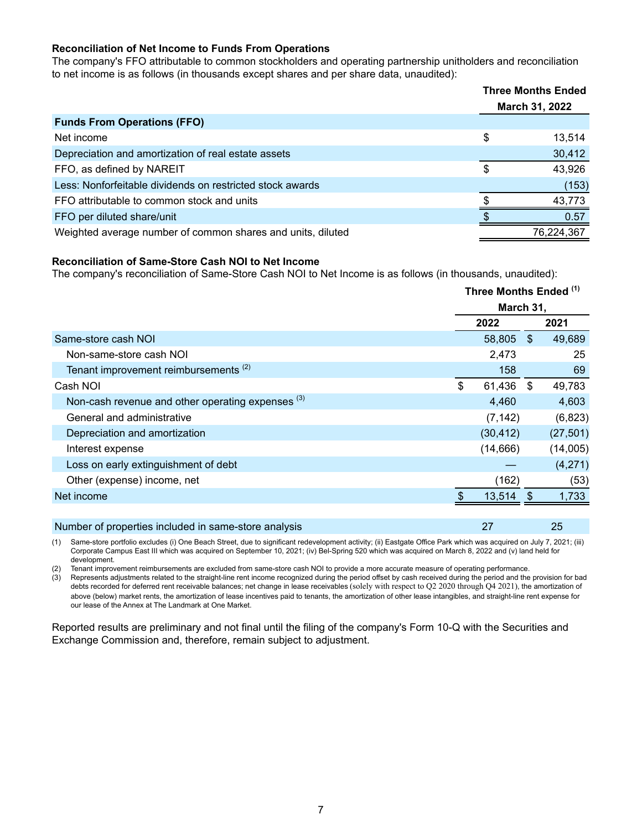## **Reconciliation of Net Income to Funds From Operations**

The company's FFO attributable to common stockholders and operating partnership unitholders and reconciliation to net income is as follows (in thousands except shares and per share data, unaudited):

|                                                             | <b>Three Months Ended</b> |            |
|-------------------------------------------------------------|---------------------------|------------|
|                                                             | March 31, 2022            |            |
| <b>Funds From Operations (FFO)</b>                          |                           |            |
| Net income                                                  | \$                        | 13,514     |
| Depreciation and amortization of real estate assets         |                           | 30,412     |
| FFO, as defined by NAREIT                                   | S                         | 43,926     |
| Less: Nonforfeitable dividends on restricted stock awards   |                           | (153)      |
| FFO attributable to common stock and units                  |                           | 43.773     |
| FFO per diluted share/unit                                  |                           | 0.57       |
| Weighted average number of common shares and units, diluted |                           | 76,224,367 |

#### **Reconciliation of Same-Store Cash NOI to Net Income**

The company's reconciliation of Same-Store Cash NOI to Net Income is as follows (in thousands, unaudited):

|                                                              |                           | Three Months Ended (1) |      |           |  |
|--------------------------------------------------------------|---------------------------|------------------------|------|-----------|--|
|                                                              |                           | March 31,              |      |           |  |
|                                                              |                           | 2022                   |      | 2021      |  |
| Same-store cash NOI                                          |                           | 58,805                 | - \$ | 49,689    |  |
| Non-same-store cash NOI                                      |                           | 2,473                  |      | 25        |  |
| Tenant improvement reimbursements <sup>(2)</sup>             |                           | 158                    |      | 69        |  |
| Cash NOI                                                     | $\boldsymbol{\mathsf{S}}$ | 61,436                 | S.   | 49,783    |  |
| Non-cash revenue and other operating expenses <sup>(3)</sup> |                           | 4,460                  |      | 4,603     |  |
| General and administrative                                   |                           | (7, 142)               |      | (6,823)   |  |
| Depreciation and amortization                                |                           | (30, 412)              |      | (27, 501) |  |
| Interest expense                                             |                           | (14, 666)              |      | (14,005)  |  |
| Loss on early extinguishment of debt                         |                           |                        |      | (4,271)   |  |
| Other (expense) income, net                                  |                           | (162)                  |      | (53)      |  |
| Net income                                                   |                           | 13,514                 | \$   | 1,733     |  |
|                                                              |                           |                        |      |           |  |

(1) Same-store portfolio excludes (i) One Beach Street, due to significant redevelopment activity; (ii) Eastgate Office Park which was acquired on July 7, 2021; (iii) Corporate Campus East III which was acquired on September 10, 2021; (iv) Bel-Spring 520 which was acquired on March 8, 2022 and (v) land held for development.

Number of properties included in same-store analysis 27 25 25

(2) Tenant improvement reimbursements are excluded from same-store cash NOI to provide a more accurate measure of operating performance.

(3) Represents adjustments related to the straight-line rent income recognized during the period offset by cash received during the period and the provision for bad debts recorded for deferred rent receivable balances; net change in lease receivables (solely with respect to Q2 2020 through Q4 2021), the amortization of above (below) market rents, the amortization of lease incentives paid to tenants, the amortization of other lease intangibles, and straight-line rent expense for our lease of the Annex at The Landmark at One Market.

Reported results are preliminary and not final until the filing of the company's Form 10-Q with the Securities and Exchange Commission and, therefore, remain subject to adjustment.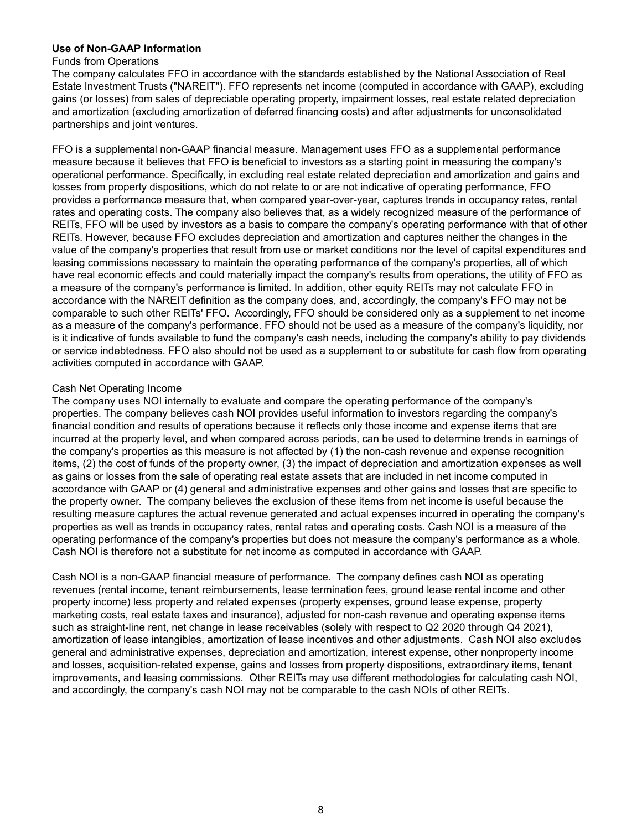## **Use of Non-GAAP Information**

#### Funds from Operations

The company calculates FFO in accordance with the standards established by the National Association of Real Estate Investment Trusts ("NAREIT"). FFO represents net income (computed in accordance with GAAP), excluding gains (or losses) from sales of depreciable operating property, impairment losses, real estate related depreciation and amortization (excluding amortization of deferred financing costs) and after adjustments for unconsolidated partnerships and joint ventures.

FFO is a supplemental non-GAAP financial measure. Management uses FFO as a supplemental performance measure because it believes that FFO is beneficial to investors as a starting point in measuring the company's operational performance. Specifically, in excluding real estate related depreciation and amortization and gains and losses from property dispositions, which do not relate to or are not indicative of operating performance, FFO provides a performance measure that, when compared year-over-year, captures trends in occupancy rates, rental rates and operating costs. The company also believes that, as a widely recognized measure of the performance of REITs, FFO will be used by investors as a basis to compare the company's operating performance with that of other REITs. However, because FFO excludes depreciation and amortization and captures neither the changes in the value of the company's properties that result from use or market conditions nor the level of capital expenditures and leasing commissions necessary to maintain the operating performance of the company's properties, all of which have real economic effects and could materially impact the company's results from operations, the utility of FFO as a measure of the company's performance is limited. In addition, other equity REITs may not calculate FFO in accordance with the NAREIT definition as the company does, and, accordingly, the company's FFO may not be comparable to such other REITs' FFO. Accordingly, FFO should be considered only as a supplement to net income as a measure of the company's performance. FFO should not be used as a measure of the company's liquidity, nor is it indicative of funds available to fund the company's cash needs, including the company's ability to pay dividends or service indebtedness. FFO also should not be used as a supplement to or substitute for cash flow from operating activities computed in accordance with GAAP.

#### Cash Net Operating Income

The company uses NOI internally to evaluate and compare the operating performance of the company's properties. The company believes cash NOI provides useful information to investors regarding the company's financial condition and results of operations because it reflects only those income and expense items that are incurred at the property level, and when compared across periods, can be used to determine trends in earnings of the company's properties as this measure is not affected by (1) the non-cash revenue and expense recognition items, (2) the cost of funds of the property owner, (3) the impact of depreciation and amortization expenses as well as gains or losses from the sale of operating real estate assets that are included in net income computed in accordance with GAAP or (4) general and administrative expenses and other gains and losses that are specific to the property owner. The company believes the exclusion of these items from net income is useful because the resulting measure captures the actual revenue generated and actual expenses incurred in operating the company's properties as well as trends in occupancy rates, rental rates and operating costs. Cash NOI is a measure of the operating performance of the company's properties but does not measure the company's performance as a whole. Cash NOI is therefore not a substitute for net income as computed in accordance with GAAP.

Cash NOI is a non-GAAP financial measure of performance. The company defines cash NOI as operating revenues (rental income, tenant reimbursements, lease termination fees, ground lease rental income and other property income) less property and related expenses (property expenses, ground lease expense, property marketing costs, real estate taxes and insurance), adjusted for non-cash revenue and operating expense items such as straight-line rent, net change in lease receivables (solely with respect to Q2 2020 through Q4 2021), amortization of lease intangibles, amortization of lease incentives and other adjustments. Cash NOI also excludes general and administrative expenses, depreciation and amortization, interest expense, other nonproperty income and losses, acquisition-related expense, gains and losses from property dispositions, extraordinary items, tenant improvements, and leasing commissions. Other REITs may use different methodologies for calculating cash NOI, and accordingly, the company's cash NOI may not be comparable to the cash NOIs of other REITs.